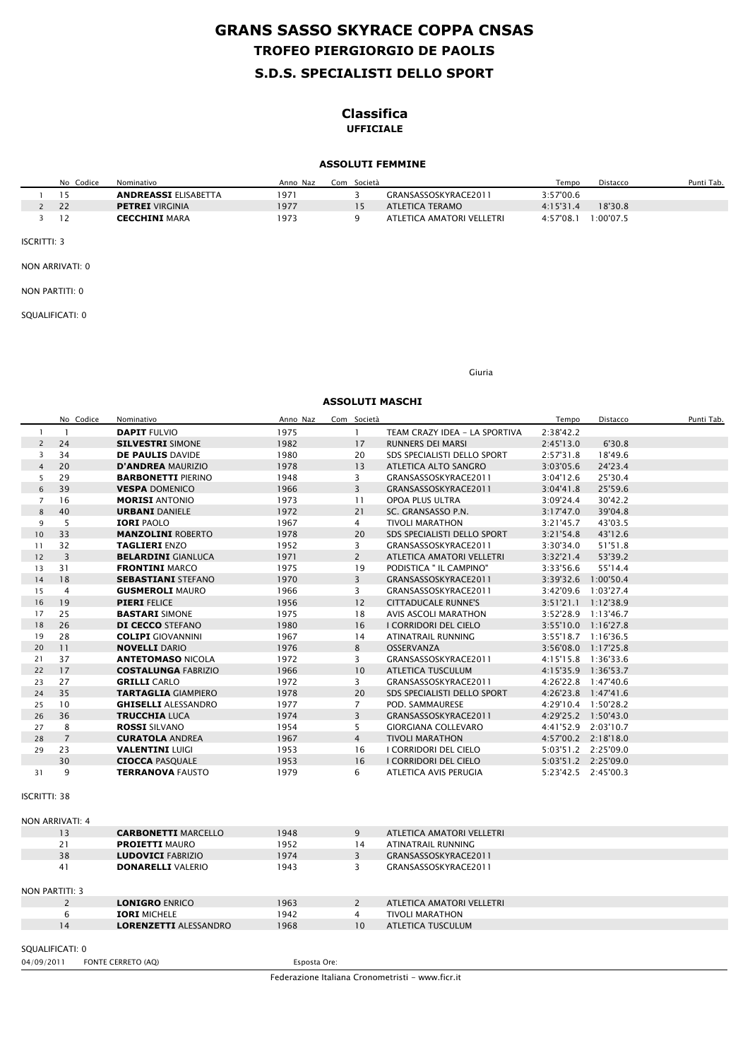## **S.D.S. SPECIALISTI DELLO SPORT TROFEO PIERGIORGIO DE PAOLIS GRANS SASSO SKYRACE COPPA CNSAS**

### **Classifica UFFICIALE**

#### **ASSOLUTI FEMMINE**

| No.<br>Codice | Nominativo                  | Anno Naz | Com Società |                           | Tempo     | Distacco | Punti Tab. |
|---------------|-----------------------------|----------|-------------|---------------------------|-----------|----------|------------|
| כ ו           | <b>ANDREASSI ELISABETTA</b> | 1971     |             | GRANSASSOSKYRACE2011      | 3:57'00.6 |          |            |
|               | <b>PETREI VIRGINIA</b>      | 1977     |             | ATLETICA TERAMO           | 4:15'31.4 | 18'30.8  |            |
|               | <b>CECCHINI MARA</b>        | 1973     |             | ATLETICA AMATORI VELLETRI | 4:57'08.1 | :00'07.5 |            |

ISCRITTI: 3

NON ARRIVATI: 0

NON PARTITI: 0

SQUALIFICATI: 0

Giuria

#### **ASSOLUTI MASCHI**

|                     | No Codice            | Nominativo                   | Anno Naz | Com Società    |                               | Tempo     | Distacco             | Punti Tab. |
|---------------------|----------------------|------------------------------|----------|----------------|-------------------------------|-----------|----------------------|------------|
| $\mathbf{1}$        | $\mathbf{1}$         | <b>DAPIT FULVIO</b>          | 1975     | $\mathbf{1}$   | TEAM CRAZY IDEA - LA SPORTIVA | 2:38'42.2 |                      |            |
| $\overline{2}$      | 24                   | <b>SILVESTRI SIMONE</b>      | 1982     | 17             | RUNNERS DEI MARSI             | 2:45'13.0 | 6'30.8               |            |
| 3                   | 34                   | <b>DE PAULIS DAVIDE</b>      | 1980     | 20             | SDS SPECIALISTI DELLO SPORT   | 2:57'31.8 | 18'49.6              |            |
| $\overline{4}$      | 20                   | <b>D'ANDREA MAURIZIO</b>     | 1978     | 13             | ATLETICA ALTO SANGRO          | 3:03'05.6 | 24'23.4              |            |
| 5                   | 29                   | <b>BARBONETTI PIERINO</b>    | 1948     | 3              | GRANSASSOSKYRACE2011          | 3:04'12.6 | 25'30.4              |            |
| 6                   | 39                   | <b>VESPA DOMENICO</b>        | 1966     | $\overline{3}$ | GRANSASSOSKYRACE2011          | 3:04'41.8 | 25'59.6              |            |
| $\overline{7}$      | 16                   | <b>MORISI ANTONIO</b>        | 1973     | 11             | OPOA PLUS ULTRA               | 3:09'24.4 | 30'42.2              |            |
| 8                   | 40                   | <b>URBANI DANIELE</b>        | 1972     | 21             | SC. GRANSASSO P.N.            | 3:17'47.0 | 39'04.8              |            |
| 9                   | 5                    | <b>IORI PAOLO</b>            | 1967     | $\overline{4}$ | <b>TIVOLI MARATHON</b>        | 3:21'45.7 | 43'03.5              |            |
| 10                  | 33                   | <b>MANZOLINI ROBERTO</b>     | 1978     | 20             | SDS SPECIALISTI DELLO SPORT   | 3:21'54.8 | 43'12.6              |            |
| 11                  | 32                   | <b>TAGLIERI ENZO</b>         | 1952     | 3              | GRANSASSOSKYRACE2011          | 3:30'34.0 | 51'51.8              |            |
| 12                  | $\overline{3}$       | <b>BELARDINI GIANLUCA</b>    | 1971     | $\overline{2}$ | ATLETICA AMATORI VELLETRI     | 3:32'21.4 | 53'39.2              |            |
| 13                  | 31                   | <b>FRONTINI MARCO</b>        | 1975     | 19             | PODISTICA " IL CAMPINO"       | 3:33'56.6 | 55'14.4              |            |
| 14                  | 18                   | <b>SEBASTIANI STEFANO</b>    | 1970     | 3              | GRANSASSOSKYRACE2011          |           | 3:39'32.6 1:00'50.4  |            |
| 15                  | $\overline{4}$       | <b>GUSMEROLI MAURO</b>       | 1966     | 3              | GRANSASSOSKYRACE2011          |           | 3:42'09.6 1:03'27.4  |            |
| 16                  | 19                   | <b>PIERI FELICE</b>          | 1956     | 12             | <b>CITTADUCALE RUNNE'S</b>    |           | 3:51'21.1 1:12'38.9  |            |
| 17                  | 25                   | <b>BASTARI SIMONE</b>        | 1975     | 18             | <b>AVIS ASCOLI MARATHON</b>   |           | 3:52'28.9 1:13'46.7  |            |
| 18                  | 26                   | <b>DI CECCO STEFANO</b>      | 1980     | 16             | I CORRIDORI DEL CIELO         |           | 3:55'10.0 1:16'27.8  |            |
| 19                  | 28                   | <b>COLIPI</b> GIOVANNINI     | 1967     | 14             | ATINATRAIL RUNNING            |           | 3:55'18.7 1:16'36.5  |            |
| 20                  | 11                   | <b>NOVELLI DARIO</b>         | 1976     | 8              | OSSERVANZA                    |           | 3:56'08.0 1:17'25.8  |            |
| 21                  | 37                   | <b>ANTETOMASO NICOLA</b>     | 1972     | 3              | GRANSASSOSKYRACE2011          |           | 4:15'15.8 1:36'33.6  |            |
| 22                  | 17                   | <b>COSTALUNGA FABRIZIO</b>   | 1966     | 10             | <b>ATLETICA TUSCULUM</b>      |           | 4:15'35.9 1:36'53.7  |            |
| 23                  | 27                   | <b>GRILLI CARLO</b>          | 1972     | $\overline{3}$ | GRANSASSOSKYRACE2011          |           | 4:26'22.8 1:47'40.6  |            |
| 24                  | 35                   | <b>TARTAGLIA GIAMPIERO</b>   | 1978     | 20             | SDS SPECIALISTI DELLO SPORT   |           | 4:26'23.8 1:47'41.6  |            |
| 25                  | 10                   | <b>GHISELLI ALESSANDRO</b>   | 1977     | $\overline{7}$ | POD. SAMMAURESE               |           | 4:29'10.4 1:50'28.2  |            |
| 26                  | 36                   | <b>TRUCCHIA LUCA</b>         | 1974     | $\overline{3}$ | GRANSASSOSKYRACE2011          |           | 4:29'25.2 1:50'43.0  |            |
| 27                  | 8                    | <b>ROSSI SILVANO</b>         | 1954     | 5              | <b>GIORGIANA COLLEVARO</b>    |           | 4:41'52.9 2:03'10.7  |            |
| 28                  | $\overline{7}$       | <b>CURATOLA ANDREA</b>       | 1967     | $\overline{4}$ | <b>TIVOLI MARATHON</b>        |           | 4:57'00.2  2:18'18.0 |            |
| 29                  | 23                   | <b>VALENTINI LUIGI</b>       | 1953     | 16             | I CORRIDORI DEL CIELO         |           | 5:03'51.2 2:25'09.0  |            |
|                     | 30                   | <b>CIOCCA PASQUALE</b>       | 1953     | 16             | I CORRIDORI DEL CIELO         |           | 5:03'51.2 2:25'09.0  |            |
| 31                  | 9                    | <b>TERRANOVA FAUSTO</b>      | 1979     | 6              | ATLETICA AVIS PERUGIA         |           | 5:23'42.5 2:45'00.3  |            |
| <b>ISCRITTI: 38</b> | NON ARRIVATI: 4      |                              |          |                |                               |           |                      |            |
|                     | 13                   | <b>CARBONETTI MARCELLO</b>   | 1948     | 9              | ATLETICA AMATORI VELLETRI     |           |                      |            |
|                     | 21                   | <b>PROIETTI MAURO</b>        | 1952     | 14             | ATINATRAIL RUNNING            |           |                      |            |
|                     | 38                   | <b>LUDOVICI FABRIZIO</b>     | 1974     | 3              | GRANSASSOSKYRACE2011          |           |                      |            |
|                     | 41<br>NON PARTITI: 3 | <b>DONARELLI VALERIO</b>     | 1943     | 3              | GRANSASSOSKYRACE2011          |           |                      |            |
|                     | $\overline{2}$       | <b>LONIGRO ENRICO</b>        | 1963     | $\overline{2}$ | ATLETICA AMATORI VELLETRI     |           |                      |            |
|                     | 6                    | <b>IORI MICHELE</b>          | 1942     | $\overline{4}$ | <b>TIVOLI MARATHON</b>        |           |                      |            |
|                     | 14                   | <b>LORENZETTI ALESSANDRO</b> | 1968     | 10             | <b>ATLETICA TUSCULUM</b>      |           |                      |            |
|                     |                      |                              |          |                |                               |           |                      |            |
|                     | SQUALIFICATI: 0      |                              |          |                |                               |           |                      |            |

04/09/2011 FONTE CERRETO (AQ) Esposta Ore:

Federazione Italiana Cronometristi - www.ficr.it